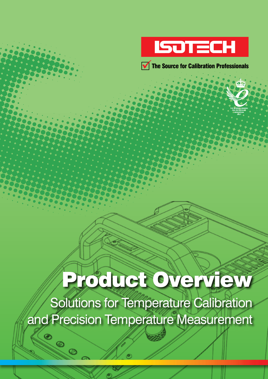



# Product Overview

Solutions for Temperature Calibration and Precision Temperature Measurement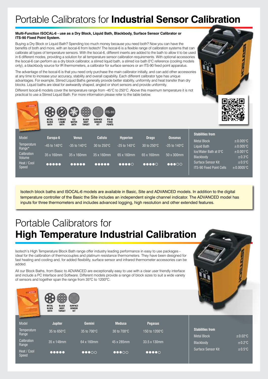### Portable Calibrators for **Industrial Sensor Calibration**

#### **Multi-Function ISOCAL-6 - use as a Dry Block, Liquid Bath, Blackbody, Surface Sensor Calibrator or ITS-90 Fixed Point System.**

Buying a Dry Block or Liquid Bath? Spending too much money because you need both? Now you can have the benefits of both and more, with an Isocal-6 from Isotech! The Isocal-6 is a flexible range of calibration systems that can calibrate all types of temperature sensors. With the Isocal-6, different inserts are added to the bath to allow it to be used in 6 different modes, providing a solution for all temperature sensor calibration requirements. With optional accessories the Isocal-6 can perform as a dry block calibrator, a stirred liquid bath, a stirred ice bath 0°C reference (cooling models only), a blackbody source for IR thermometers, a calibrator for surface sensors or an ITS-90 fixed point apparatus.

The advantage of the Isocal-6 is that you need only purchase the main calibrator initially, and can add other accessories at any time to increase your accuracy, stability and overall capability. Each different calibrator type has unique advantages. For example, Stirred Liquid Baths generally provide better stability, uniformity and heat transfer than dry blocks. Liquid baths are ideal for awkwardly shaped, angled or short sensors and provide uniformity.

Different Isocal-6 models cover the temperature range from -45°C to 250°C. Above this maximum temperature it is not



practical to use a Stirred Liquid Bath. For more information please refer to the table below.

69 2 美线

|                       | <b>WIETAL</b><br><b>SIINNEU</b><br>LIQUID<br><b>BLOCK</b><br><b>BATH</b><br><b>BATH</b> | 16E/<br>DLAUR<br><b>BODY</b><br><b>WATER</b><br>TARGET<br><b>BATH</b>                          | <b>SUNFALE</b><br>11 J JU<br><b>FIXED</b><br><b>SENSOR</b><br><b>POINTS</b><br>KIT |                                     |                                     |                                   |                                                              | .                               |
|-----------------------|-----------------------------------------------------------------------------------------|------------------------------------------------------------------------------------------------|------------------------------------------------------------------------------------|-------------------------------------|-------------------------------------|-----------------------------------|--------------------------------------------------------------|---------------------------------|
| Model                 | Europa-6                                                                                | <b>Venus</b>                                                                                   | <b>Calisto</b>                                                                     | <b>Hyperion</b>                     | <b>Drago</b>                        | <b>Oceanus</b>                    | <b>Stabilities from</b><br><b>Metal Block</b>                | $\pm 0.005$ °C                  |
| Temperature<br>Range* | $-45$ to 140 $\degree$ C                                                                | $-35$ to 140 $\degree$ C                                                                       | 30 to $250^{\circ}$ C                                                              | $-25$ to 140 $^{\circ}$ C           | 30 to $250^{\circ}$ C               | $-25$ to 140 $^{\circ}$ C         | Liquid Bath                                                  | $\pm 0.005$ °C                  |
| Calibration<br>Volume | 35 x 160mm                                                                              | 35 x 160mm                                                                                     | 35 x 160mm                                                                         | 65 x 160mm                          | 65 x 160mm                          | 50 x 300mm                        | Ice/Water Bath at 0°C<br>Blackbody                           | $\pm 0.001$ °C<br>$\pm 0.3$ °C  |
| Heat / Cool<br>Speed  | 00000                                                                                   | $\begin{array}{ccccc}\n\bullet & \bullet & \bullet & \bullet & \bullet & \bullet\n\end{array}$ |                                                                                    | $\bullet\bullet\bullet\bullet\circ$ | $\bullet\bullet\bullet\bullet\circ$ | $\bullet\bullet\bullet\circ\circ$ | <b>Surface Sensor Kit</b><br><b>ITS-90 Fixed Point Cells</b> | $\pm 0.5$ °C<br>$\pm 0.0005$ °C |

Isotech block baths and ISOCAL-6 models are available in Basic, Site and ADVANCED models. In addition to the digital temperature controller of the Basic the Site includes an independent single channel indicator. The ADVANCED model has inputs for three thermometers and includes advanced logging, high resolution and other extended features.

### Portable Calibrators for **High Temperature Industrial Calibration**

Isotech's High Temperature Block Bath range offer industry leading performance in easy to use packages ideal for the calibration of thermocouples and platinum resistance thermometers. They have been designed for fast heating and cooling and, for added flexibility, surface sensor and infrared thermometer accessories can be added.

All our Block Baths, from Basic to ADVANCED are exceptionally easy to use with a clear user friendly interface and include a PC Interface and Software. Different models provide a range of block sizes to suit a wide variety of sensors and together span the range from 35°C to 1200°C.



| Model                       | <b>Jupiter</b> | <b>Gemini</b>                     | <b>Medusa</b>                     | <b>Pegasus</b>                      |                                 |                              |
|-----------------------------|----------------|-----------------------------------|-----------------------------------|-------------------------------------|---------------------------------|------------------------------|
| Temperature                 | 35 to 650°C    | 35 to 700°C                       | 30 to 700°C                       | 150 to 1200°C                       | <b>Stabilities from</b>         |                              |
| Range<br>Calibration        |                |                                   |                                   |                                     | Metal Block                     | $\pm 0.02$ °C                |
| Range                       | 35 x 148mm     | 64 x 160mm                        | 45 x 285mm                        | 33.5 x 130mm                        | Blackbody<br>Surface Sensor Kit | $\pm 0.2$ °C<br>$\pm 0.5$ °C |
| Heat / Cool<br><b>Speed</b> | 00000          | $\bullet\bullet\bullet\circ\circ$ | $\bullet\bullet\bullet\circ\circ$ | $\bullet\bullet\bullet\bullet\circ$ |                                 |                              |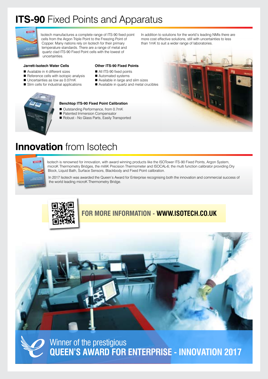### **ITS-90** Fixed Points and Apparatus



Isotech manufactures a complete range of ITS-90 fixed point cells from the Argon Triple Point to the Freezing Point of Copper. Many nations rely on Isotech for their primary temperature standards. There are a range of metal and quartz clad ITS-90 Fixed Point cells with the lowest of uncertainties.

**Jarrett-Isotech Water Cells**

- $\blacksquare$  Available in 4 different sizes
- $\blacksquare$  Reference cells with isotopic analysis
- $\blacksquare$  Uncertainties as low as 0.07mK
- $\blacksquare$  Slim cells for industrial applications

### **Other ITS-90 Fixed Points**

- All ITS-90 fixed points
- $\blacksquare$  Automated systems
- Available in large and slim sizes
- Available in quartz and metal crucibles



#### **Benchtop ITS-90 Fixed Point Calibration**

- Outstanding Performance, from 0.7mK
- Patented Immersion Compensator
- Robust No Glass Parts, Easily Transported

In addition to solutions for the world's leading NMIs there are more cost effective solutions, still with uncertainties to less than 1mK to suit a wider range of laboratories.



### **Innovation** from Isotech

![](_page_2_Figure_21.jpeg)

Isotech is renowned for innovation, with award winning products like the ISOTower ITS-90 Fixed Points, Argon System, microK Thermometry Bridges, the milliK Precision Thermometer and ISOCAL-6; the multi function calibrator providing Dry Block, Liquid Bath, Surface Sensors, Blackbody and Fixed Point calibration.

In 2017 Isotech was awarded the Queen's Award for Enterprise recognising both the innovation and commercial success of the world leading microK Thermometry Bridge.

![](_page_2_Picture_24.jpeg)

![](_page_2_Picture_25.jpeg)

**Queen's Award for Enterprise - INNOVATION 2017**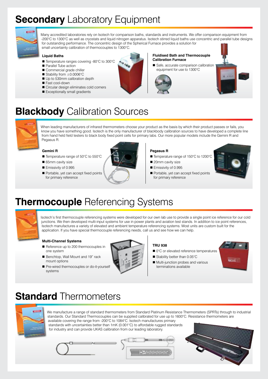## **Secondary** Laboratory Equipment

![](_page_3_Picture_1.jpeg)

Many accredited laboratories rely on Isotech for comparison baths, standards and instruments. We offer comparison equipment from -200°C to 1300°C as well as cryostats and liquid nitrogen apparatus. Isotech stirred liquid baths use concentric and parallel tube designs for outstanding performance. The concentric design of the Spherical Furnace provides a solution for small uncertainty calibration of thermocouples to 1300°C.

#### **Liquid Baths**

- Temperature ranges covering -80°C to 300°C
- Parallel Tube action
- Commercial grade chiller
- Stability from  $±0.0006^{\circ}$ C
- Up to 530mm calibration depth
- Fast cool-down
- Circular design eliminates cold corners
- $\blacksquare$  Exceptionally small gradients

#### **Fluidised Bath and Thermocouple Calibration Furnace**

safe, accurate comparison calibration equipment for use to 1300°C

![](_page_3_Picture_14.jpeg)

### **Blackbody** Calibration Sources

![](_page_3_Picture_16.jpeg)

When leading manufacturers of infrared thermometers choose your product as the basis by which their product passes or fails, you know you have something good. Isotech is the only manufacturer of blackbody calibration sources to have developed a complete line from hand held field testers to black body fixed point cells for primary labs. Our more popular models include the Gemini R and Pegasus R.

#### **Gemini R**

- Temperature range of 50°C to 550°C
- 65mm cavity size
- Emissivity of 0.995
- Portable, yet can accept fixed points for primary reference

![](_page_3_Picture_23.jpeg)

#### **Pegasus R**

- Temperature range of 150°C to 1200°C
- 20mm cavity size
- Emissivity of 0.995
- Portable, yet can accept fixed points for primary reference

![](_page_3_Picture_29.jpeg)

### **Thermocouple** Referencing Systems

![](_page_3_Picture_31.jpeg)

Isotech's first thermocouple referencing systems were developed for our own lab use to provide a single point ice reference for our cold junctions. We then developed multi-input systems for use in power plants and aviation test stands. In addition to ice point references, Isotech manufactures a variety of elevated and ambient temperature referencing systems. Most units are custom built for the application. If you have special thermocouple referencing needs, call us and see how we can help.

#### **Multi-Channel Systems**

- Reference up to 200 thermocouples in one system
- Benchtop, Wall Mount and 19" rack mount options

![](_page_3_Picture_36.jpeg)

#### **TRU 938**

- 0°C or elevated reference temperatures
- $\blacksquare$  Stability better than 0.05°C
- Multi-junction probes and various terminations available

![](_page_3_Picture_41.jpeg)

Pre-wired thermocouples or do-it-yourself systems

### **Standard** Thermometers

![](_page_3_Picture_44.jpeg)

We manufacture a range of standard thermometers from Standard Platinum Resistance Thermometers (SPRTs) through to industrial standards. Our Standard Thermocouples can be supplied calibrated for use up to 1600°C. Resistance thermometers are available covering the range from -200°C to 1084°C. Isotech manufactures primary

standards with uncertainties better than 1mK (0.001°C) to affordable rugged standards for industry and can provide UKAS calibration from our leading laboratory.

![](_page_3_Picture_47.jpeg)

![](_page_3_Picture_48.jpeg)

![](_page_3_Picture_49.jpeg)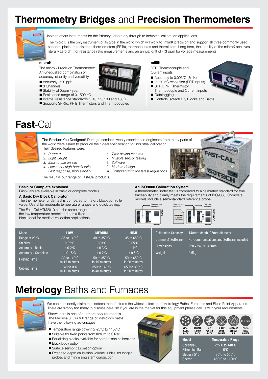### **Thermometry Bridges** and **Precision Thermometers**

![](_page_4_Picture_1.jpeg)

Isotech offers instruments for the Primary Laboratory through to Industrial calibration applications.

The microK is the only instrument of its type in the world which will work to <1mK precision and support all three commonly used sensors, platinum resistance thermometers (PRTs), thermocouples and thermistors. Long term, the stability of the microK achieves literally zero drift for resistance ratio measurements and an annual drift of <3 ppm for voltage measurements.

#### **microK**

The microK Precision Thermometer: An unequalled combination of accuracy, stability and versatility.

- $\blacksquare$  Accuracy <20 ppb
- $\blacksquare$  3 Channels
- Stability of 0ppm / year
- Resistance range of 0 500 k $\Omega$
- Internal resistance standards 1, 10, 25, 100 and 400Ω
- Supports SPRTs, PRTs Thermistors and Thermocouples

#### **milliK**

RTD, Thermocouple and Current inputs

- Accuracy to 0.003°C (3mK)
- 0.0001°C resolution (PRT Inputs)
- SPRT, PRT, Thermistor, Thermocouple and Current inputs
- Datalogging
- Controls Isotech Dry Blocks and Baths

### **Fast**-Cal

![](_page_4_Picture_20.jpeg)

The Product You Designed! During a seminar, twenty experienced engineers from many parts of the world were asked to produce their ideal specification for industrial calibration. Their desired features were:

- *1. Rugged*
- *2. Light weight*
- *3. Easy to use on site*
- *4. Low cost / high benefit ratio*
- *5. Fast response, high stability*

The result is our range of Fast-Cal products.

#### **Basic or Complete explained**

Fast-Cals are available in basic or complete models.

#### **A Basic Dry Block Calibrator**

The thermometer under test is compared to the dry block controller value. Useful for moderate temperature ranges and quick testing.

The Fast-Cal HTM2010 has the same range as the low temperature model and has a fixed block ideal for medical validation applications.

#### *6. Time saving features*

- *7. Multiple sensor testing*
- *8. Software*
- *9. Modern design*
- *10. Compliant with the latest regulations*

![](_page_4_Picture_38.jpeg)

#### **An Iso9000 Calibration System**

A thermometer under test is compared to a calibrated standard for true traceability and clearly meets the requirements of ISO9000. Complete models include a semi-standard reference probe.

![](_page_4_Figure_41.jpeg)

| Model<br>Range at 20°C<br>Stability<br>Accuracy - Basic<br>Accuracy - Complete<br><b>Heating Time</b> | <b>LOW</b><br>$-35$ to 140 $\degree$ C<br>$0.02^{\circ}$ C<br>$\pm 0.2$ °C<br>$\pm 0.15$ °C<br>$-30$ to 140 $\degree$ C<br>in 15 minutes | <b>MEDIUM</b><br>30 to $350^{\circ}$ C<br>$0.03\degree$ C<br>$\pm 0.3$ °C<br>$\pm 0.2$ °C<br>50 to $350^{\circ}$ C<br>in 15 minutes | <b>HIGH</b><br>$35$ to $650^{\circ}$ C<br>$0.05^{\circ}$ C<br>±1°C<br>$\pm 0.5$ °C<br>50 to $650^{\circ}$ C<br>in 20 minutes | <b>Calibration Capacity</b><br>Comms & Software<br><b>Dimensions</b><br>Weight | 148mm depth, 25mm diameter<br>PC Communications and Software Included<br>228 x 248 x 143mm<br>6.6 <sub>kq</sub> |
|-------------------------------------------------------------------------------------------------------|------------------------------------------------------------------------------------------------------------------------------------------|-------------------------------------------------------------------------------------------------------------------------------------|------------------------------------------------------------------------------------------------------------------------------|--------------------------------------------------------------------------------|-----------------------------------------------------------------------------------------------------------------|
| <b>Cooling Time</b>                                                                                   | 140 to $0^{\circ}$ C<br>in 15 minutes                                                                                                    | 350 to 140 °C<br>in 40 minutes                                                                                                      | $650$ to $300^{\circ}$ C<br>in 20 minutes                                                                                    |                                                                                |                                                                                                                 |

### **Metrology** Baths and Furnaces

![](_page_4_Picture_44.jpeg)

We can confidently claim that Isotech manufactures the widest selection of Metrology Baths, Furnaces and Fixed Point Apparatus. There are simply too many to discuss here, so if you are in the market for this equipment please call us with your requirements.

Shown here is one of our more popular models - The Medusa 3. Our full range of Metrology baths have the following advantages:

- Temperature range covering -25°C to 1100°C
- Suitable for fixed points from Indium to Silver
- Equalizing blocks available for comparison calibrations
- Black body option
- Surface sensor calibration option
- Extended depth calibration volume is ideal for longer probes and minimising stem conduction

![](_page_4_Picture_53.jpeg)

![](_page_4_Picture_54.jpeg)

![](_page_4_Picture_55.jpeg)